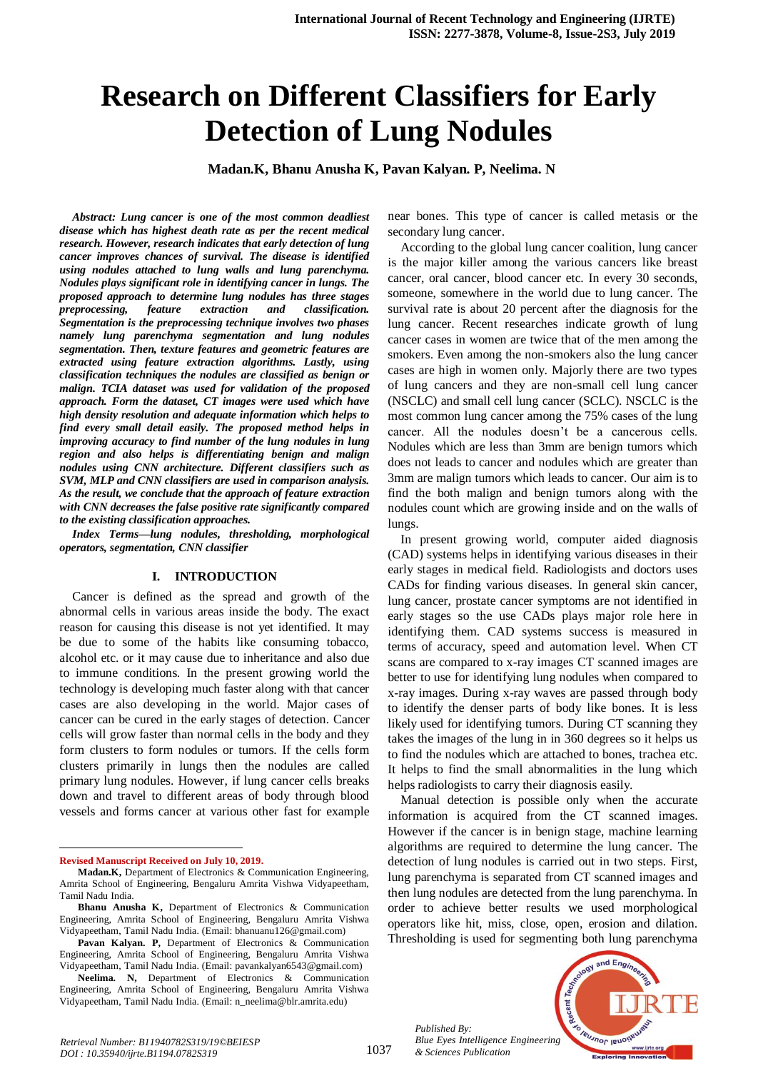# **Research on Different Classifiers for Early Detection of Lung Nodules**

**Madan.K, Bhanu Anusha K, Pavan Kalyan. P, Neelima. N**

*Abstract: Lung cancer is one of the most common deadliest disease which has highest death rate as per the recent medical research. However, research indicates that early detection of lung cancer improves chances of survival. The disease is identified using nodules attached to lung walls and lung parenchyma. Nodules plays significant role in identifying cancer in lungs. The proposed approach to determine lung nodules has three stages preprocessing, feature extraction and classification. Segmentation is the preprocessing technique involves two phases namely lung parenchyma segmentation and lung nodules segmentation. Then, texture features and geometric features are extracted using feature extraction algorithms. Lastly, using classification techniques the nodules are classified as benign or malign. TCIA dataset was used for validation of the proposed approach. Form the dataset, CT images were used which have high density resolution and adequate information which helps to find every small detail easily. The proposed method helps in improving accuracy to find number of the lung nodules in lung region and also helps is differentiating benign and malign nodules using CNN architecture. Different classifiers such as SVM, MLP and CNN classifiers are used in comparison analysis. As the result, we conclude that the approach of feature extraction with CNN decreases the false positive rate significantly compared to the existing classification approaches.*

*Index Terms—lung nodules, thresholding, morphological operators, segmentation, CNN classifier*

## **I. INTRODUCTION**

Cancer is defined as the spread and growth of the abnormal cells in various areas inside the body. The exact reason for causing this disease is not yet identified. It may be due to some of the habits like consuming tobacco, alcohol etc. or it may cause due to inheritance and also due to immune conditions. In the present growing world the technology is developing much faster along with that cancer cases are also developing in the world. Major cases of cancer can be cured in the early stages of detection. Cancer cells will grow faster than normal cells in the body and they form clusters to form nodules or tumors. If the cells form clusters primarily in lungs then the nodules are called primary lung nodules. However, if lung cancer cells breaks down and travel to different areas of body through blood vessels and forms cancer at various other fast for example

**Revised Manuscript Received on July 10, 2019.**

1

near bones. This type of cancer is called metasis or the secondary lung cancer.

According to the global lung cancer coalition, lung cancer is the major killer among the various cancers like breast cancer, oral cancer, blood cancer etc. In every 30 seconds, someone, somewhere in the world due to lung cancer. The survival rate is about 20 percent after the diagnosis for the lung cancer. Recent researches indicate growth of lung cancer cases in women are twice that of the men among the smokers. Even among the non-smokers also the lung cancer cases are high in women only. Majorly there are two types of lung cancers and they are non-small cell lung cancer (NSCLC) and small cell lung cancer (SCLC). NSCLC is the most common lung cancer among the 75% cases of the lung cancer. All the nodules doesn't be a cancerous cells. Nodules which are less than 3mm are benign tumors which does not leads to cancer and nodules which are greater than 3mm are malign tumors which leads to cancer. Our aim is to find the both malign and benign tumors along with the nodules count which are growing inside and on the walls of lungs.

In present growing world, computer aided diagnosis (CAD) systems helps in identifying various diseases in their early stages in medical field. Radiologists and doctors uses CADs for finding various diseases. In general skin cancer, lung cancer, prostate cancer symptoms are not identified in early stages so the use CADs plays major role here in identifying them. CAD systems success is measured in terms of accuracy, speed and automation level. When CT scans are compared to x-ray images CT scanned images are better to use for identifying lung nodules when compared to x-ray images. During x-ray waves are passed through body to identify the denser parts of body like bones. It is less likely used for identifying tumors. During CT scanning they takes the images of the lung in in 360 degrees so it helps us to find the nodules which are attached to bones, trachea etc. It helps to find the small abnormalities in the lung which helps radiologists to carry their diagnosis easily.

Manual detection is possible only when the accurate information is acquired from the CT scanned images. However if the cancer is in benign stage, machine learning algorithms are required to determine the lung cancer. The detection of lung nodules is carried out in two steps. First, lung parenchyma is separated from CT scanned images and then lung nodules are detected from the lung parenchyma. In order to achieve better results we used morphological operators like hit, miss, close, open, erosion and dilation. Thresholding is used for segmenting both lung parenchyma

*Published By: Blue Eyes Intelligence Engineering & Sciences Publication* 



**Madan.K,** Department of Electronics & Communication Engineering, Amrita School of Engineering, Bengaluru Amrita Vishwa Vidyapeetham, Tamil Nadu India.

**Bhanu Anusha K,** Department of Electronics & Communication Engineering, Amrita School of Engineering, Bengaluru Amrita Vishwa Vidyapeetham, Tamil Nadu India. (Email: bhanuanu126@gmail.com)

**Pavan Kalyan. P,** Department of Electronics & Communication Engineering, Amrita School of Engineering, Bengaluru Amrita Vishwa Vidyapeetham, Tamil Nadu India. (Email: pavankalyan6543@gmail.com)

**Neelima. N,** Department of Electronics & Communication Engineering, Amrita School of Engineering, Bengaluru Amrita Vishwa Vidyapeetham, Tamil Nadu India. (Email: n\_neelima@blr.amrita.edu)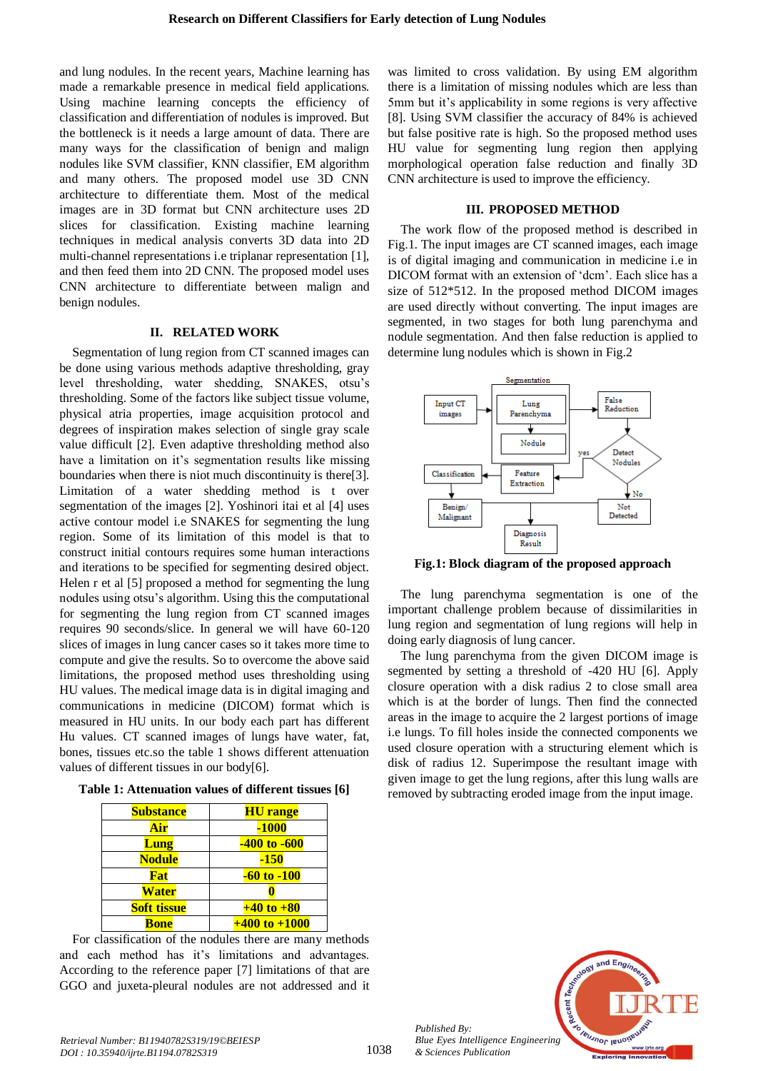and lung nodules. In the recent years, Machine learning has made a remarkable presence in medical field applications. Using machine learning concepts the efficiency of classification and differentiation of nodules is improved. But the bottleneck is it needs a large amount of data. There are many ways for the classification of benign and malign nodules like SVM classifier, KNN classifier, EM algorithm and many others. The proposed model use 3D CNN architecture to differentiate them. Most of the medical images are in 3D format but CNN architecture uses 2D slices for classification. Existing machine learning techniques in medical analysis converts 3D data into 2D multi-channel representations i.e triplanar representation [1], and then feed them into 2D CNN. The proposed model uses CNN architecture to differentiate between malign and benign nodules.

# **II. RELATED WORK**

Segmentation of lung region from CT scanned images can be done using various methods adaptive thresholding, gray level thresholding, water shedding, SNAKES, otsu's thresholding. Some of the factors like subject tissue volume, physical atria properties, image acquisition protocol and degrees of inspiration makes selection of single gray scale value difficult [2]. Even adaptive thresholding method also have a limitation on it's segmentation results like missing boundaries when there is niot much discontinuity is there[3]. Limitation of a water shedding method is t over segmentation of the images [2]. Yoshinori itai et al [4] uses active contour model i.e SNAKES for segmenting the lung region. Some of its limitation of this model is that to construct initial contours requires some human interactions and iterations to be specified for segmenting desired object. Helen r et al [5] proposed a method for segmenting the lung nodules using otsu's algorithm. Using this the computational for segmenting the lung region from CT scanned images requires 90 seconds/slice. In general we will have 60-120 slices of images in lung cancer cases so it takes more time to compute and give the results. So to overcome the above said limitations, the proposed method uses thresholding using HU values. The medical image data is in digital imaging and communications in medicine (DICOM) format which is measured in HU units. In our body each part has different Hu values. CT scanned images of lungs have water, fat, bones, tissues etc.so the table 1 shows different attenuation values of different tissues in our body[6].

**Table 1: Attenuation values of different tissues [6]**

| <b>Substance</b>   | <b>HU</b> range   |  |
|--------------------|-------------------|--|
| Air                | $-1000$           |  |
| <b>Lung</b>        | -400 to -600      |  |
| <b>Nodule</b>      | -150              |  |
| Fat                | $-60$ to $-100$   |  |
| <b>Water</b>       |                   |  |
| <b>Soft tissue</b> | $+40$ to $+80$    |  |
| Bone               | $+400$ to $+1000$ |  |

For classification of the nodules there are many methods and each method has it's limitations and advantages. According to the reference paper [7] limitations of that are GGO and juxeta-pleural nodules are not addressed and it

was limited to cross validation. By using EM algorithm there is a limitation of missing nodules which are less than 5mm but it's applicability in some regions is very affective [8]. Using SVM classifier the accuracy of 84% is achieved but false positive rate is high. So the proposed method uses HU value for segmenting lung region then applying morphological operation false reduction and finally 3D CNN architecture is used to improve the efficiency.

#### **III. PROPOSED METHOD**

The work flow of the proposed method is described in Fig.1. The input images are CT scanned images, each image is of digital imaging and communication in medicine i.e in DICOM format with an extension of 'dcm'. Each slice has a size of 512\*512. In the proposed method DICOM images are used directly without converting. The input images are segmented, in two stages for both lung parenchyma and nodule segmentation. And then false reduction is applied to determine lung nodules which is shown in Fig.2



**Fig.1: Block diagram of the proposed approach**

The lung parenchyma segmentation is one of the important challenge problem because of dissimilarities in lung region and segmentation of lung regions will help in doing early diagnosis of lung cancer.

The lung parenchyma from the given DICOM image is segmented by setting a threshold of -420 HU [6]. Apply closure operation with a disk radius 2 to close small area which is at the border of lungs. Then find the connected areas in the image to acquire the 2 largest portions of image i.e lungs. To fill holes inside the connected components we used closure operation with a structuring element which is disk of radius 12. Superimpose the resultant image with given image to get the lung regions, after this lung walls are removed by subtracting eroded image from the input image.



1038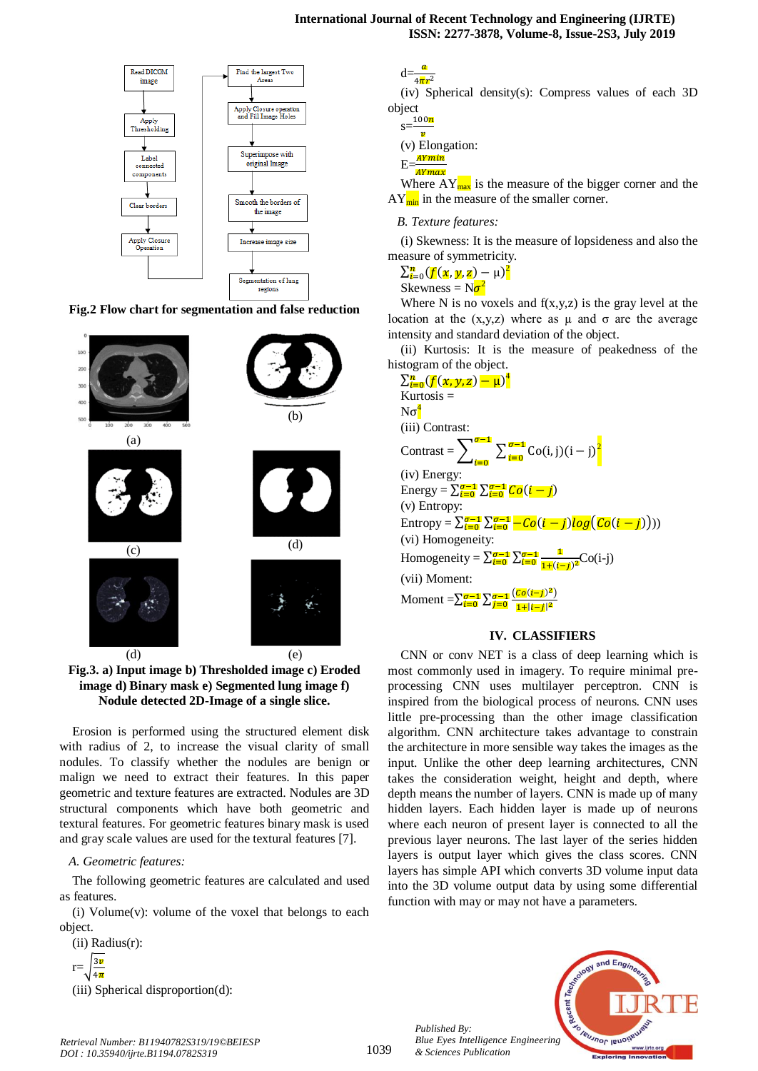

**Fig.2 Flow chart for segmentation and false reduction**



**Fig.3. a) Input image b) Thresholded image c) Eroded image d) Binary mask e) Segmented lung image f) Nodule detected 2D-Image of a single slice.**

Erosion is performed using the structured element disk with radius of 2, to increase the visual clarity of small nodules. To classify whether the nodules are benign or malign we need to extract their features. In this paper geometric and texture features are extracted. Nodules are 3D structural components which have both geometric and textural features. For geometric features binary mask is used and gray scale values are used for the textural features [7].

## *A. Geometric features:*

The following geometric features are calculated and used as features.

(i) Volume $(v)$ : volume of the voxel that belongs to each object.

(ii) Radius(r):

 $r=\frac{3}{4}$ 4

(iii) Spherical disproportion(d):

 $d=\frac{a}{4\pi r^2}$ 

(iv) Spherical density(s): Compress values of each 3D object

|    | 100n            |  |  |
|----|-----------------|--|--|
| S. |                 |  |  |
|    | (v) Elongation: |  |  |
| Е. | <u>AYmin</u>    |  |  |
|    | AYmax           |  |  |
|    | Where A         |  |  |

 $T_{\text{max}}$  is the measure of the bigger corner and the  $AY_{\text{min}}$  in the measure of the smaller corner.

# *B. Texture features:*

(i) Skewness: It is the measure of lopsideness and also the measure of symmetricity.

 $\sum_{i=0}^{n} (f(x, y, z) - \mu)^2$ Skewness =  $N\sigma^2$ 

Where N is no voxels and  $f(x,y,z)$  is the gray level at the location at the  $(x,y,z)$  where as  $\mu$  and  $\sigma$  are the average intensity and standard deviation of the object.

(ii) Kurtosis: It is the measure of peakedness of the histogram of the object.

| $\sum_{i=0}^{n} (f(x, y, z) - \mu)^4$                                                   |
|-----------------------------------------------------------------------------------------|
| Kurtosis $=$                                                                            |
| $N\sigma^4$                                                                             |
| (iii) Contrast:                                                                         |
| Contrast = $\sum_{i=0}^{\sigma-1} \sum_{i=0}^{\sigma-1}$ Co(i, j)(i – j) <sup>2</sup>   |
| (iv) Energy:                                                                            |
| Energy = $\sum_{i=0}^{\sigma-1} \sum_{i=0}^{\sigma-1} Co(i-i)$                          |
| $(v)$ Entropy:                                                                          |
| Entropy = $\sum_{i=0}^{\sigma-1} \sum_{i=0}^{\sigma-1} -Co(i-j)log(Co(i-j))))$          |
| (vi) Homogeneity:                                                                       |
| Homogeneity = $\sum_{i=0}^{\sigma-1} \sum_{i=0}^{\sigma-1} \frac{1}{1+(i-i)^2} Co(i-j)$ |
| (vii) Moment:                                                                           |
| Moment = $\sum_{i=0}^{\sigma-1} \sum_{j=0}^{\sigma-1} \frac{(Co(i-j)^2)}{1+ i-j ^2}$    |

# **IV. CLASSIFIERS**

CNN or conv NET is a class of deep learning which is most commonly used in imagery. To require minimal preprocessing CNN uses multilayer perceptron. CNN is inspired from the biological process of neurons. CNN uses little pre-processing than the other image classification algorithm. CNN architecture takes advantage to constrain the architecture in more sensible way takes the images as the input. Unlike the other deep learning architectures, CNN takes the consideration weight, height and depth, where depth means the number of layers. CNN is made up of many hidden layers. Each hidden layer is made up of neurons where each neuron of present layer is connected to all the previous layer neurons. The last layer of the series hidden layers is output layer which gives the class scores. CNN layers has simple API which converts 3D volume input data into the 3D volume output data by using some differential function with may or may not have a parameters.





*Retrieval Number: B11940782S319/19©BEIESP DOI : 10.35940/ijrte.B1194.0782S319*